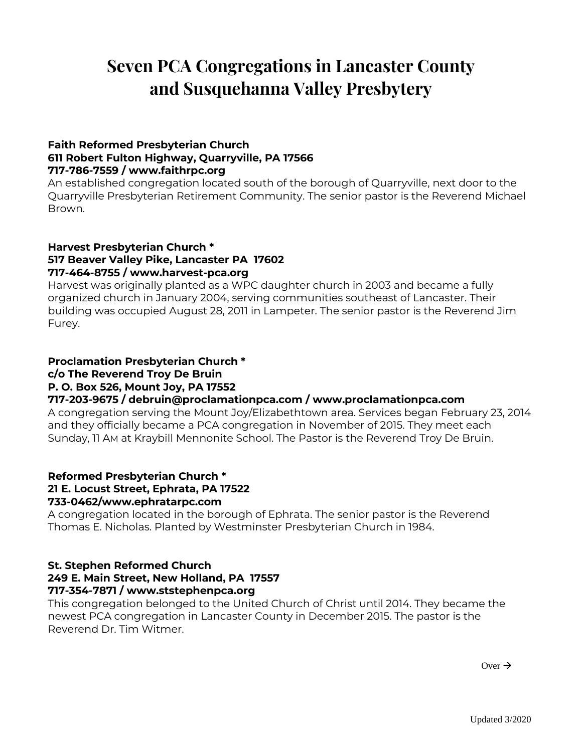# **Seven PCA Congregations in Lancaster County and Susquehanna Valley Presbytery**

#### **Faith Reformed Presbyterian Church 611 Robert Fulton Highway, Quarryville, PA 17566 717-786-7559 / www.faithrpc.org**

An established congregation located south of the borough of Quarryville, next door to the Quarryville Presbyterian Retirement Community. The senior pastor is the Reverend Michael Brown.

#### **Harvest Presbyterian Church \* 517 Beaver Valley Pike, Lancaster PA 17602 717-464-8755 / www.harvest-pca.org**

Harvest was originally planted as a WPC daughter church in 2003 and became a fully organized church in January 2004, serving communities southeast of Lancaster. Their building was occupied August 28, 2011 in Lampeter. The senior pastor is the Reverend Jim Furey.

#### **Proclamation Presbyterian Church \* c/o The Reverend Troy De Bruin P. O. Box 526, Mount Joy, PA 17552 717-203-9675 / [debruin@proclamationpca.com](mailto:debruin@proclamationpca.com) / [www.proclamationpca.com](http://www.proclamationpca.com/)**

A congregation serving the Mount Joy/Elizabethtown area. Services began February 23, 2014 and they officially became a PCA congregation in November of 2015. They meet each Sunday, 11 AM at Kraybill Mennonite School. The Pastor is the Reverend Troy De Bruin.

#### **Reformed Presbyterian Church \* 21 E. Locust Street, Ephrata, PA 17522 733-0462/www.ephratarpc.com**

A congregation located in the borough of Ephrata. The senior pastor is the Reverend Thomas E. Nicholas. Planted by Westminster Presbyterian Church in 1984.

## **St. Stephen Reformed Church 249 E. Main Street, New Holland, PA 17557 717-354-7871 / www.ststephenpca.org**

This congregation belonged to the United Church of Christ until 2014. They became the newest PCA congregation in Lancaster County in December 2015. The pastor is the Reverend Dr. Tim Witmer.

 $Over \rightarrow$